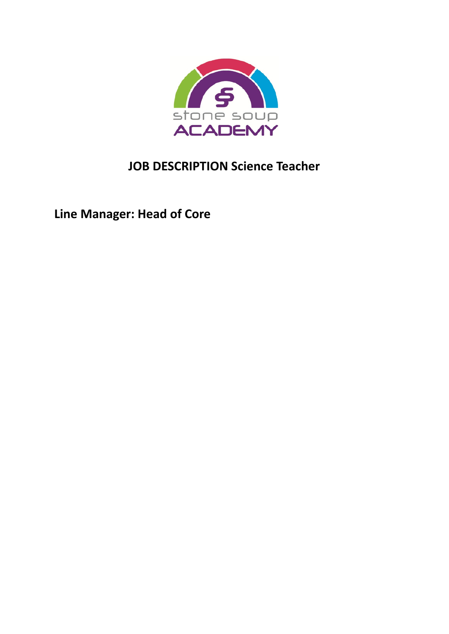

# **JOB DESCRIPTION Science Teacher**

**Line Manager: Head of Core**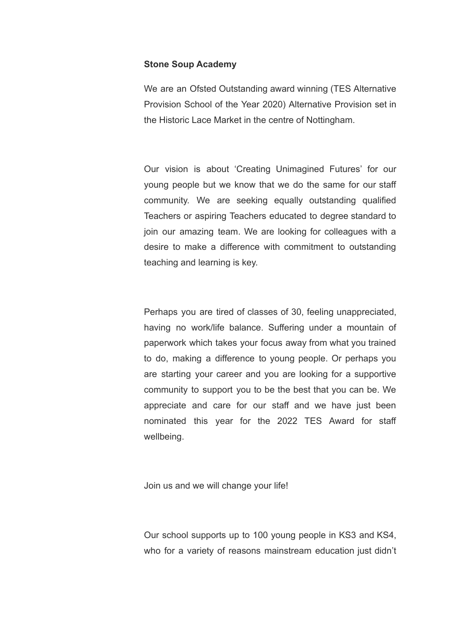#### **Stone Soup Academy**

We are an Ofsted Outstanding award winning (TES Alternative Provision School of the Year 2020) Alternative Provision set in the Historic Lace Market in the centre of Nottingham.

Our vision is about 'Creating Unimagined Futures' for our young people but we know that we do the same for our staff community. We are seeking equally outstanding qualified Teachers or aspiring Teachers educated to degree standard to join our amazing team. We are looking for colleagues with a desire to make a difference with commitment to outstanding teaching and learning is key.

Perhaps you are tired of classes of 30, feeling unappreciated, having no work/life balance. Suffering under a mountain of paperwork which takes your focus away from what you trained to do, making a difference to young people. Or perhaps you are starting your career and you are looking for a supportive community to support you to be the best that you can be. We appreciate and care for our staff and we have just been nominated this year for the 2022 TES Award for staff wellbeing.

Join us and we will change your life!

Our school supports up to 100 young people in KS3 and KS4, who for a variety of reasons mainstream education just didn't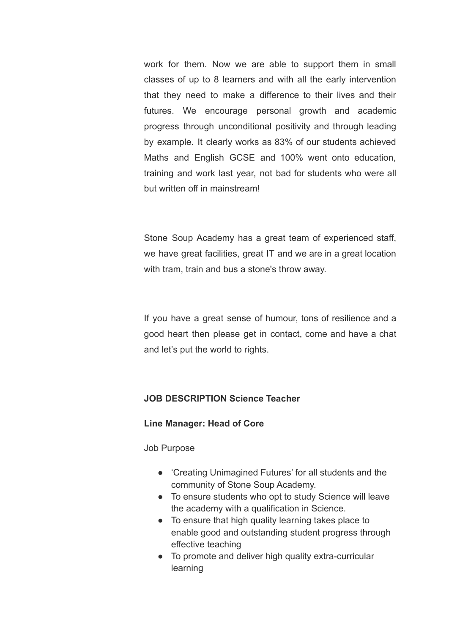work for them. Now we are able to support them in small classes of up to 8 learners and with all the early intervention that they need to make a difference to their lives and their futures. We encourage personal growth and academic progress through unconditional positivity and through leading by example. It clearly works as 83% of our students achieved Maths and English GCSE and 100% went onto education, training and work last year, not bad for students who were all but written off in mainstream!

Stone Soup Academy has a great team of experienced staff, we have great facilities, great IT and we are in a great location with tram, train and bus a stone's throw away.

If you have a great sense of humour, tons of resilience and a good heart then please get in contact, come and have a chat and let's put the world to rights.

### **JOB DESCRIPTION Science Teacher**

### **Line Manager: Head of Core**

Job Purpose

- 'Creating Unimagined Futures' for all students and the community of Stone Soup Academy.
- To ensure students who opt to study Science will leave the academy with a qualification in Science.
- To ensure that high quality learning takes place to enable good and outstanding student progress through effective teaching
- To promote and deliver high quality extra-curricular learning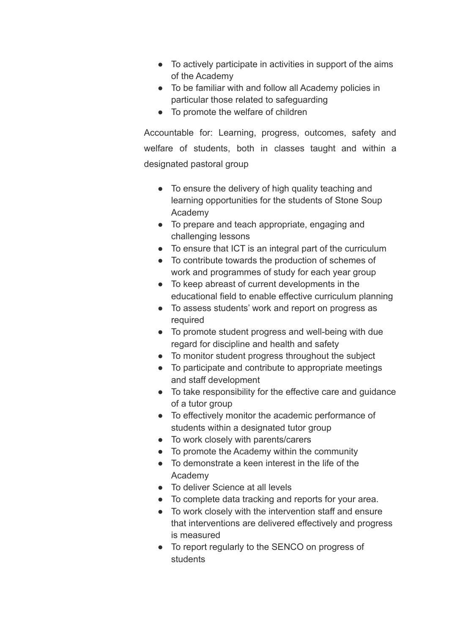- To actively participate in activities in support of the aims of the Academy
- To be familiar with and follow all Academy policies in particular those related to safeguarding
- To promote the welfare of children

Accountable for: Learning, progress, outcomes, safety and welfare of students, both in classes taught and within a designated pastoral group

- To ensure the delivery of high quality teaching and learning opportunities for the students of Stone Soup Academy
- To prepare and teach appropriate, engaging and challenging lessons
- To ensure that ICT is an integral part of the curriculum
- To contribute towards the production of schemes of work and programmes of study for each year group
- To keep abreast of current developments in the educational field to enable effective curriculum planning
- To assess students' work and report on progress as required
- To promote student progress and well-being with due regard for discipline and health and safety
- To monitor student progress throughout the subject
- To participate and contribute to appropriate meetings and staff development
- To take responsibility for the effective care and guidance of a tutor group
- To effectively monitor the academic performance of students within a designated tutor group
- To work closely with parents/carers
- To promote the Academy within the community
- To demonstrate a keen interest in the life of the Academy
- To deliver Science at all levels
- To complete data tracking and reports for your area.
- To work closely with the intervention staff and ensure that interventions are delivered effectively and progress is measured
- To report regularly to the SENCO on progress of students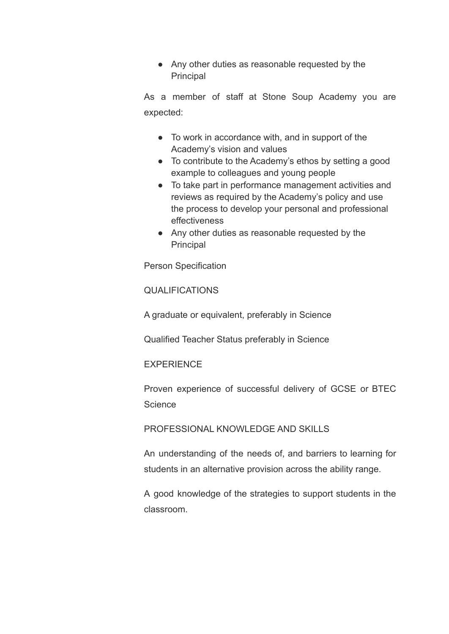● Any other duties as reasonable requested by the Principal

As a member of staff at Stone Soup Academy you are expected:

- To work in accordance with, and in support of the Academy's vision and values
- To contribute to the Academy's ethos by setting a good example to colleagues and young people
- To take part in performance management activities and reviews as required by the Academy's policy and use the process to develop your personal and professional effectiveness
- Any other duties as reasonable requested by the Principal

Person Specification

QUALIFICATIONS

A graduate or equivalent, preferably in Science

Qualified Teacher Status preferably in Science

**EXPERIENCE** 

Proven experience of successful delivery of GCSE or BTEC **Science** 

## PROFESSIONAL KNOWLEDGE AND SKILLS

An understanding of the needs of, and barriers to learning for students in an alternative provision across the ability range.

A good knowledge of the strategies to support students in the classroom.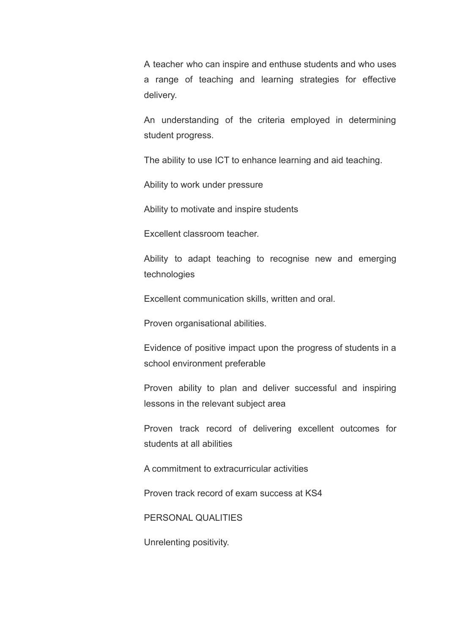A teacher who can inspire and enthuse students and who uses a range of teaching and learning strategies for effective delivery.

An understanding of the criteria employed in determining student progress.

The ability to use ICT to enhance learning and aid teaching.

Ability to work under pressure

Ability to motivate and inspire students

Excellent classroom teacher.

Ability to adapt teaching to recognise new and emerging technologies

Excellent communication skills, written and oral.

Proven organisational abilities.

Evidence of positive impact upon the progress of students in a school environment preferable

Proven ability to plan and deliver successful and inspiring lessons in the relevant subject area

Proven track record of delivering excellent outcomes for students at all abilities

A commitment to extracurricular activities

Proven track record of exam success at KS4

PERSONAL QUALITIES

Unrelenting positivity.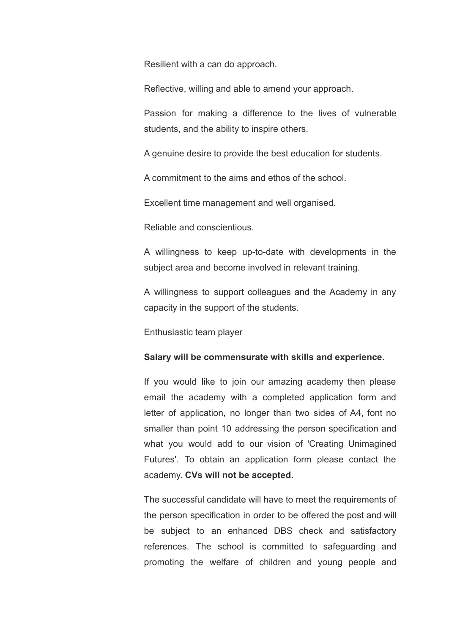Resilient with a can do approach.

Reflective, willing and able to amend your approach.

Passion for making a difference to the lives of vulnerable students, and the ability to inspire others.

A genuine desire to provide the best education for students.

A commitment to the aims and ethos of the school.

Excellent time management and well organised.

Reliable and conscientious.

A willingness to keep up-to-date with developments in the subject area and become involved in relevant training.

A willingness to support colleagues and the Academy in any capacity in the support of the students.

Enthusiastic team player

#### **Salary will be commensurate with skills and experience.**

If you would like to join our amazing academy then please email the academy with a completed application form and letter of application, no longer than two sides of A4, font no smaller than point 10 addressing the person specification and what you would add to our vision of 'Creating Unimagined Futures'. To obtain an application form please contact the academy. **CVs will not be accepted.**

The successful candidate will have to meet the requirements of the person specification in order to be offered the post and will be subject to an enhanced DBS check and satisfactory references. The school is committed to safeguarding and promoting the welfare of children and young people and